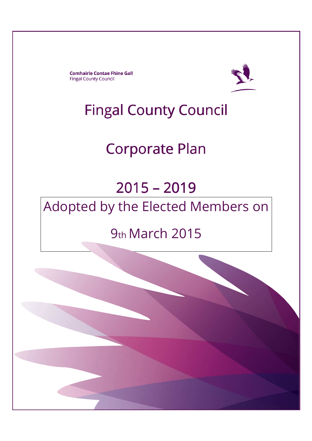**Comhairle Contae Fhine Gall Fingal County Council** 



## Fingal County Council

# Corporate Plan

# 2015 –2019 Adopted by the Elected Members on

## 9th March 2015

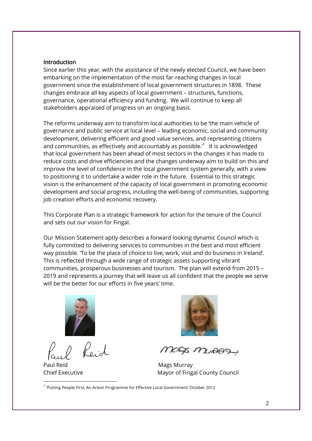#### **Introduction**

Since earlier this year, with the assistance of the newly elected Council, we have been embarking on the implementation of the most far-reaching changes in local government since the establishment of local government structures in 1898. These changes embrace all key aspects of local government – structures, functions, governance, operational efficiency and funding. We will continue to keep all stakeholders appraised of progress on an ongoing basis.

The reforms underway aim to transform local authorities to be 'the main vehicle of governance and public service at local level – leading economic, social and community development, delivering efficient and good value services, and representing citizens and communities, as effectively and accountably as possible. $11$  It is acknowledged that local government has been ahead of most sectors in the changes it has made to reduce costs and drive efficiencies and the changes underway aim to build on this and improve the level of confidence in the local government system generally, with a view to positioning it to undertake a wider role in the future. Essential to this strategic vision is the enhancement of the capacity of local government in promoting economic development and social progress, including the well-being of communities, supporting job creation efforts and economic recovery.

This Corporate Plan is a strategic framework for action for the tenure of the Council and sets out our vision for Fingal.

Our Mission Statement aptly describes a forward looking dynamic Council which is fully committed to delivering services to communities in the best and most efficient way possible. 'To be the place of choice to live, work, visit and do business in Ireland'. This is reflected through a wide range of strategic assets supporting vibrant communities, prosperous businesses and tourism. The plan will extend from 2015 – 2019 and represents a journey that will leave us all confident that the people we serve will be the better for our efforts in five years' time.



Paul Reid **Mags Murray** 

-



MADA MUAARY

Chief Executive **Mayor of Fingal County Council** 

<sup>1</sup> 'Putting People First, An Action Programme for Effective Local Government' October 2012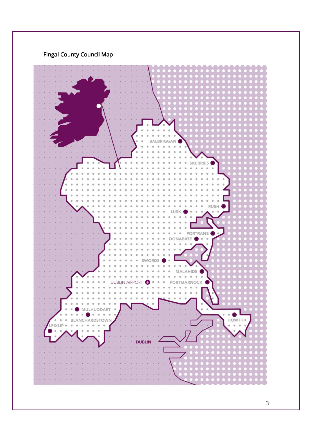

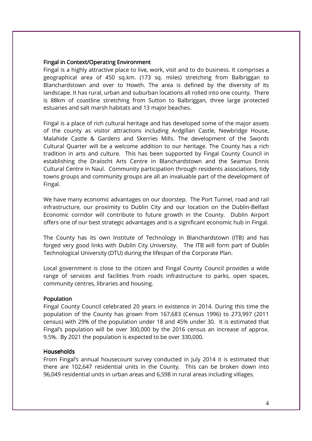#### Fingal in Context/Operating Environment

Fingal is a highly attractive place to live, work, visit and to do business. It comprises a geographical area of 450 sq.km. (173 sq. miles) stretching from Balbriggan to Blanchardstown and over to Howth. The area is defined by the diversity of its landscape. It has rural, urban and suburban locations all rolled into one county. There is 88km of coastline stretching from Sutton to Balbriggan, three large protected estuaries and salt marsh habitats and 13 major beaches.

Fingal is a place of rich cultural heritage and has developed some of the major assets of the county as visitor attractions including Ardgillan Castle, Newbridge House, Malahide Castle & Gardens and Skerries Mills. The development of the Swords Cultural Quarter will be a welcome addition to our heritage. The County has a rich tradition in arts and culture. This has been supported by Fingal County Council in establishing the Draíocht Arts Centre in Blanchardstown and the Seamus Ennis Cultural Centre in Naul. Community participation through residents associations, tidy towns groups and community groups are all an invaluable part of the development of Fingal.

We have many economic advantages on our doorstep. The Port Tunnel, road and rail infrastructure, our proximity to Dublin City and our location on the Dublin-Belfast Economic corridor will contribute to future growth in the County. Dublin Airport offers one of our best strategic advantages and is a significant economic hub in Fingal.

The County has its own Institute of Technology in Blanchardstown (ITB) and has forged very good links with Dublin City University. The ITB will form part of Dublin Technological University (DTU) during the lifespan of the Corporate Plan.

Local government is close to the citizen and Fingal County Council provides a wide range of services and facilities from roads infrastructure to parks, open spaces, community centres, libraries and housing.

#### **Population**

Fingal County Council celebrated 20 years in existence in 2014. During this time the population of the County has grown from 167,683 (Census 1996) to 273,997 (2011 census) with 29% of the population under 18 and 45% under 30. It is estimated that Fingal's population will be over 300,000 by the 2016 census an increase of approx. 9.5%. By 2021 the population is expected to be over 330,000.

#### Households

From Fingal's annual housecount survey conducted in July 2014 it is estimated that there are 102,647 residential units in the County. This can be broken down into 96,049 residential units in urban areas and 6,598 in rural areas including villages.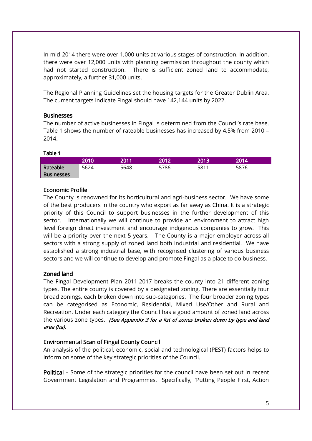In mid-2014 there were over 1,000 units at various stages of construction. In addition, there were over 12,000 units with planning permission throughout the county which had not started construction. There is sufficient zoned land to accommodate, approximately, a further 31,000 units.

The Regional Planning Guidelines set the housing targets for the Greater Dublin Area. The current targets indicate Fingal should have 142,144 units by 2022.

#### **Businesses**

The number of active businesses in Fingal is determined from the Council's rate base. Table 1 shows the number of rateable businesses has increased by 4.5% from 2010 – 2014.

#### Table 1

|                   | 2010 | 2011 | 2012 | 2013' | 2014' |
|-------------------|------|------|------|-------|-------|
| Rateable          | 5624 | 5648 | 5786 | 5811  | 5876  |
| <b>Businesses</b> |      |      |      |       |       |

#### Economic Profile

The County is renowned for its horticultural and agri-business sector. We have some of the best producers in the country who export as far away as China. It is a strategic priority of this Council to support businesses in the further development of this sector. Internationally we will continue to provide an environment to attract high level foreign direct investment and encourage indigenous companies to grow. This will be a priority over the next 5 years. The County is a major employer across all sectors with a strong supply of zoned land both industrial and residential. We have established a strong industrial base, with recognised clustering of various business sectors and we will continue to develop and promote Fingal as a place to do business.

#### Zoned land

The Fingal Development Plan 2011-2017 breaks the county into 21 different zoning types. The entire county is covered by a designated zoning. There are essentially four broad zonings, each broken down into sub-categories. The four broader zoning types can be categorised as Economic, Residential, Mixed Use/Other and Rural and Recreation. Under each category the Council has a good amount of zoned land across the various zone types. (See Appendix 3 for a list of zones broken down by type and land area (ha).

#### Environmental Scan of Fingal County Council

An analysis of the political, economic, social and technological (PEST) factors helps to inform on some of the key strategic priorities of the Council.

Political – Some of the strategic priorities for the council have been set out in recent Government Legislation and Programmes. Specifically, "Putting People First, Action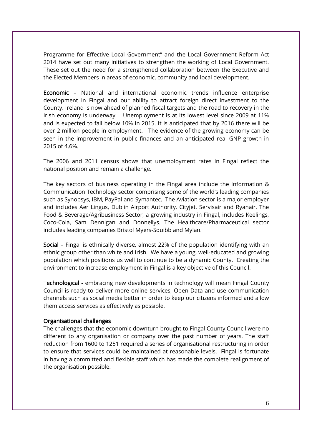Programme for Effective Local Government" and the Local Government Reform Act 2014 have set out many initiatives to strengthen the working of Local Government. These set out the need for a strengthened collaboration between the Executive and the Elected Members in areas of economic, community and local development.

**Economic** – National and international economic trends influence enterprise development in Fingal and our ability to attract foreign direct investment to the County. Ireland is now ahead of planned fiscal targets and the road to recovery in the Irish economy is underway. Unemployment is at its lowest level since 2009 at 11% and is expected to fall below 10% in 2015. It is anticipated that by 2016 there will be over 2 million people in employment. The evidence of the growing economy can be seen in the improvement in public finances and an anticipated real GNP growth in 2015 of 4.6%.

The 2006 and 2011 census shows that unemployment rates in Fingal reflect the national position and remain a challenge.

The key sectors of business operating in the Fingal area include the Information & Communication Technology sector comprising some of the world's leading companies such as Synopsys, IBM, PayPal and Symantec. The Aviation sector is a major employer and includes Aer Lingus, Dublin Airport Authority, Cityjet, Servisair and Ryanair. The Food & Beverage/Agribusiness Sector, a growing industry in Fingal, includes Keelings, Coco-Cola, Sam Dennigan and Donnellys. The Healthcare/Pharmaceutical sector includes leading companies Bristol Myers-Squibb and Mylan.

Social – Fingal is ethnically diverse, almost 22% of the population identifying with an ethnic group other than white and Irish. We have a young, well-educated and growing population which positions us well to continue to be a dynamic County. Creating the environment to increase employment in Fingal is a key objective of this Council.

Technological - embracing new developments in technology will mean Fingal County Council is ready to deliver more online services, Open Data and use communication channels such as social media better in order to keep our citizens informed and allow them access services as effectively as possible.

#### Organisational challenges

The challenges that the economic downturn brought to Fingal County Council were no different to any organisation or company over the past number of years. The staff reduction from 1600 to 1251 required a series of organisational restructuring in order to ensure that services could be maintained at reasonable levels. Fingal is fortunate in having a committed and flexible staff which has made the complete realignment of the organisation possible.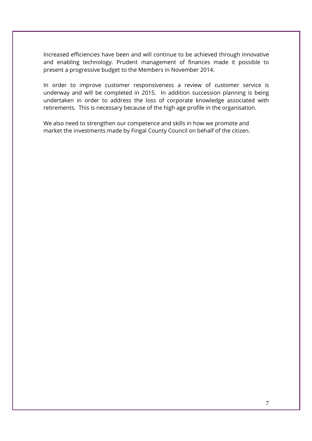Increased efficiencies have been and will continue to be achieved through innovative and enabling technology. Prudent management of finances made it possible to present a progressive budget to the Members in November 2014.

In order to improve customer responsiveness a review of customer service is underway and will be completed in 2015. In addition succession planning is being undertaken in order to address the loss of corporate knowledge associated with retirements. This is necessary because of the high age profile in the organisation.

We also need to strengthen our competence and skills in how we promote and market the investments made by Fingal County Council on behalf of the citizen.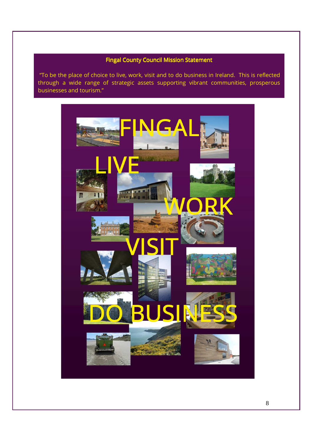## Fingal County Council Mission Statement

j

 "To be the place of choice to live, work, visit and to do business in Ireland. This is reflected through a wide range of strategic assets supporting vibrant communities, prosperous businesses and tourism."

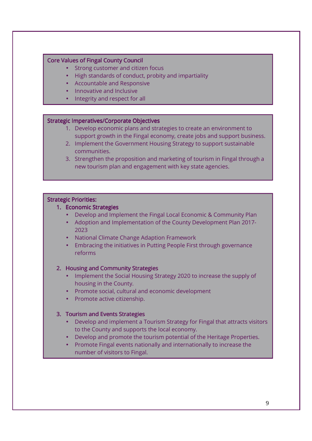#### Core Values of Fingal County Council

Ē I I I I I I

Ī I I I I I I I L

ŕ I I I I I I I I

I I I Ī

- Strong customer and citizen focus
- High standards of conduct, probity and impartiality
- Accountable and Responsive
- Innovative and Inclusive
- Integrity and respect for all

#### Strategic Imperatives/Corporate Objectives

- 1. Develop economic plans and strategies to create an environment to support growth in the Fingal economy, create jobs and support business.
- 2. Implement the Government Housing Strategy to support sustainable communities.
- 3. Strengthen the proposition and marketing of tourism in Fingal through a new tourism plan and engagement with key state agencies.

#### Strategic Priorities:

- 1. Economic Strategies
	- Develop and Implement the Fingal Local Economic & Community Plan
	- Adoption and Implementation of the County Development Plan 2017- 2023
	- National Climate Change Adaption Framework
	- Embracing the initiatives in Putting People First through governance reforms

#### | 2. Housing and Community Strategies

- Implement the Social Housing Strategy 2020 to increase the supply of • Develop and Implement the Fingal Local Economic & Community Plan housing in the County.
- Promote social, cultural and economic development  $\bullet$
- $\bullet$  Promote active citizenship.  $\bullet$  Promote active citizenship.

## 3. Tourism and Events Strategies

- Develop and implement a Tourism Strategy for Fingal that attracts visitors  $\bullet$  to the County and supports the local economy. The supports the supply of  $\bullet$ 
	- Develop and promote the tourism potential of the Heritage Properties.
	- Promote Fingal events nationally and internationally to increase the number of visitors to Fingal.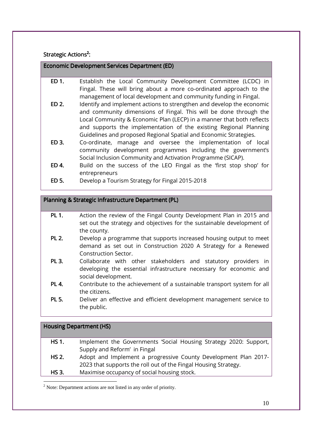Strategic Actions<sup>2</sup>:

Economic Development Services Department (ED)

- ED 1. Establish the Local Community Development Committee (LCDC) in Fingal. These will bring about a more co-ordinated approach to the management of local development and community funding in Fingal.
- ED 2. Identify and implement actions to strengthen and develop the economic and community dimensions of Fingal. This will be done through the Local Community & Economic Plan (LECP) in a manner that both reflects and supports the implementation of the existing Regional Planning Guidelines and proposed Regional Spatial and Economic Strategies.
- ED 3. Co-ordinate, manage and oversee the implementation of local community development programmes including the government's Social Inclusion Community and Activation Programme (SICAP).
- ED 4. Build on the success of the LEO Fingal as the 'first stop shop' for entrepreneurs
- ED 5. Develop a Tourism Strategy for Fingal 2015-2018

## Planning & Strategic Infrastructure Department (PL)

- PL 1. Action the review of the Fingal County Development Plan in 2015 and set out the strategy and objectives for the sustainable development of the county.
- PL 2. Develop a programme that supports increased housing output to meet demand as set out in Construction 2020 A Strategy for a Renewed Construction Sector.
- PL 3. Collaborate with other stakeholders and statutory providers in developing the essential infrastructure necessary for economic and social development.
- PL 4. Contribute to the achievement of a sustainable transport system for all the citizens.
- PL 5. Deliver an effective and efficient development management service to the public.

|              | <b>Housing Department (HS)</b>                                    |
|--------------|-------------------------------------------------------------------|
| <b>HS 1.</b> | Implement the Governments 'Social Housing Strategy 2020: Support, |
|              | Supply and Reform' in Fingal                                      |
| <b>HS 2.</b> | Adopt and Implement a progressive County Development Plan 2017-   |
|              | 2023 that supports the roll out of the Fingal Housing Strategy.   |
| HS 3.        | Maximise occupancy of social housing stock.                       |
|              |                                                                   |

 $2$  Note: Department actions are not listed in any order of priority.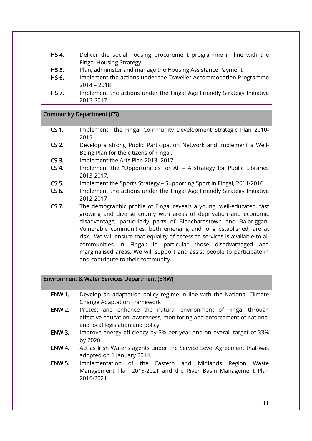- HS 4. Deliver the social housing procurement programme in line with the Fingal Housing Strategy.
- HS 5. Plan, administer and manage the Housing Assistance Payment
- HS 6. Implement the actions under the Traveller Accommodation Programme 2014 – 2018
- HS 7. Implement the actions under the Fingal Age Friendly Strategy Initiative 2012-2017

#### Community Department (CS)

- CS 1. Implement the Fingal Community Development Strategic Plan 2010- 2015
- CS 2. Develop a strong Public Participation Network and implement a Well-Being Plan for the citizens of Fingal.
- CS 3. Implement the Arts Plan 2013- 2017
- CS 4. Implement the "Opportunities for All A strategy for Public Libraries 2013-2017.
- CS 5. Implement the Sports Strategy Supporting Sport in Fingal, 2011-2016.
- CS 6. Implement the actions under the Fingal Age Friendly Strategy Initiative 2012-2017
- CS 7. The demographic profile of Fingal reveals a young, well-educated, fast growing and diverse county with areas of deprivation and economic disadvantage, particularly parts of Blanchardstown and Balbriggan. Vulnerable communities, both emerging and long established, are at risk. We will ensure that equality of access to services is available to all communities in Fingal; in particular those disadvantaged and marginalised areas. We will support and assist people to participate in and contribute to their community.

## Environment & Water Services Department (ENW)

 $\overline{a}$ 

- ENW 1. Develop an adaptation policy regime in line with the National Climate Change Adaptation Framework
- ENW 2. Protect and enhance the natural environment of Fingal through effective education, awareness, monitoring and enforcement of national and local legislation and policy.
- ENW 3. Improve energy efficiency by 3% per year and an overall target of 33% by 2020.
- ENW 4. Act as Irish Water's agents under the Service Level Agreement that was adopted on 1 January 2014.
- ENW 5. Implementation of the Eastern and Midlands Region Waste Management Plan 2015-2021 and the River Basin Management Plan 2015-2021.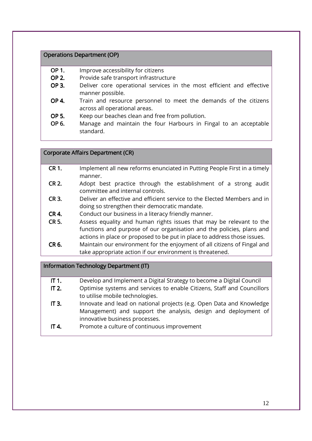#### Operations Department (OP)

- OP 1. Improve accessibility for citizens
- OP 2. Provide safe transport infrastructure
- OP 3. Deliver core operational services in the most efficient and effective manner possible.
- OP 4. Train and resource personnel to meet the demands of the citizens across all operational areas.
- OP 5. Keep our beaches clean and free from pollution.
- OP 6. Manage and maintain the four Harbours in Fingal to an acceptable standard.

#### Corporate Affairs Department (CR)

- CR 1. Implement all new reforms enunciated in Putting People First in a timely manner.
- CR 2. Adopt best practice through the establishment of a strong audit committee and internal controls.
- CR 3. Deliver an effective and efficient service to the Elected Members and in doing so strengthen their democratic mandate.
- CR 4. Conduct our business in a literacy friendly manner.
- CR 5. Assess equality and human rights issues that may be relevant to the functions and purpose of our organisation and the policies, plans and actions in place or proposed to be put in place to address those issues.
- CR 6. Maintain our environment for the enjoyment of all citizens of Fingal and take appropriate action if our environment is threatened.

#### Information Technology Department (IT)

- IT 1. Develop and Implement a Digital Strategy to become a Digital Council
- IT 2. Optimise systems and services to enable Citizens, Staff and Councillors to utilise mobile technologies.
- IT 3. Innovate and lead on national projects (e.g. Open Data and Knowledge Management) and support the analysis, design and deployment of innovative business processes.
- IT 4. Promote a culture of continuous improvement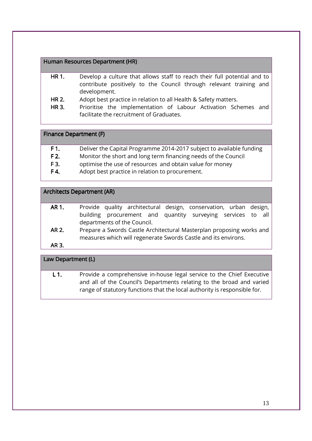#### Human Resources Department (HR)

- HR 1. Develop a culture that allows staff to reach their full potential and to contribute positively to the Council through relevant training and development.
- HR 2. Adopt best practice in relation to all Health & Safety matters.
- HR 3. Prioritise the implementation of Labour Activation Schemes and facilitate the recruitment of Graduates.

#### Finance Department (F)

- F 1. Deliver the Capital Programme 2014-2017 subject to available funding
- F 2. Monitor the short and long term financing needs of the Council
- **F 3.** optimise the use of resources and obtain value for money
- F 4. Adopt best practice in relation to procurement.

## **Architects Department (AR)**

| AR 1. |                             |  |  | Provide quality architectural design, conservation, urban design, |  |  |
|-------|-----------------------------|--|--|-------------------------------------------------------------------|--|--|
|       |                             |  |  | building procurement and quantity surveying services to all       |  |  |
|       | departments of the Council. |  |  |                                                                   |  |  |

- AR 2. Prepare a Swords Castle Architectural Masterplan proposing works and measures which will regenerate Swords Castle and its environs.
- AR 3.

## Law Department (L)

L 1. Provide a comprehensive in-house legal service to the Chief Executive and all of the Council's Departments relating to the broad and varied range of statutory functions that the local authority is responsible for.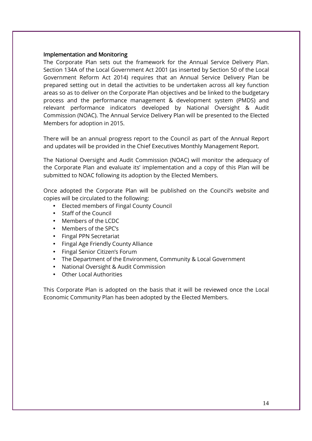#### Implementation and Monitoring

The Corporate Plan sets out the framework for the Annual Service Delivery Plan. Section 134A of the Local Government Act 2001 (as inserted by Section 50 of the Local Government Reform Act 2014) requires that an Annual Service Delivery Plan be prepared setting out in detail the activities to be undertaken across all key function areas so as to deliver on the Corporate Plan objectives and be linked to the budgetary process and the performance management & development system (PMDS) and relevant performance indicators developed by National Oversight & Audit Commission (NOAC). The Annual Service Delivery Plan will be presented to the Elected Members for adoption in 2015.

There will be an annual progress report to the Council as part of the Annual Report and updates will be provided in the Chief Executives Monthly Management Report.

The National Oversight and Audit Commission (NOAC) will monitor the adequacy of the Corporate Plan and evaluate its' implementation and a copy of this Plan will be submitted to NOAC following its adoption by the Elected Members.

Once adopted the Corporate Plan will be published on the Council's website and copies will be circulated to the following:

- Elected members of Fingal County Council
- Staff of the Council
- Members of the LCDC
- Members of the SPC's
- Fingal PPN Secretariat
- Fingal Age Friendly County Alliance
- Fingal Senior Citizen's Forum
- The Department of the Environment, Community & Local Government
- National Oversight & Audit Commission
- Other Local Authorities

This Corporate Plan is adopted on the basis that it will be reviewed once the Local Economic Community Plan has been adopted by the Elected Members.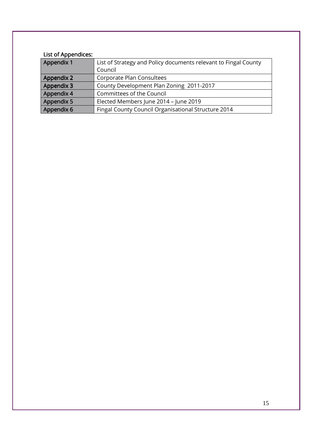## List of Appendices:

| Appendix 1                                                        | List of Strategy and Policy documents relevant to Fingal County |  |  |
|-------------------------------------------------------------------|-----------------------------------------------------------------|--|--|
|                                                                   | Council                                                         |  |  |
| Appendix 2                                                        | Corporate Plan Consultees                                       |  |  |
| Appendix 3                                                        | County Development Plan Zoning 2011-2017                        |  |  |
| Appendix 4                                                        | Committees of the Council                                       |  |  |
| Appendix 5                                                        | Elected Members June 2014 - June 2019                           |  |  |
| Appendix 6<br>Fingal County Council Organisational Structure 2014 |                                                                 |  |  |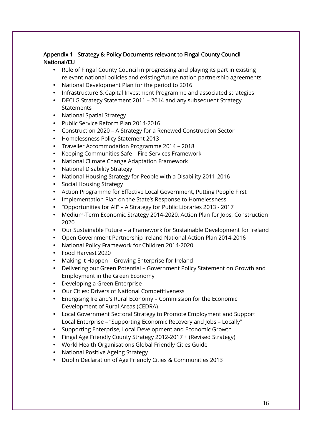## Appendix 1 - Strategy & Policy Documents relevant to Fingal County Council National/EU

- Role of Fingal County Council in progressing and playing its part in existing relevant national policies and existing/future nation partnership agreements
- National Development Plan for the period to 2016
- Infrastructure & Capital Investment Programme and associated strategies
- DECLG Strategy Statement 2011 2014 and any subsequent Strategy **Statements**
- National Spatial Strategy
- Public Service Reform Plan 2014-2016
- Construction 2020 A Strategy for a Renewed Construction Sector
- Homelessness Policy Statement 2013
- Traveller Accommodation Programme 2014 2018
- Keeping Communities Safe Fire Services Framework
- National Climate Change Adaptation Framework
- National Disability Strategy
- National Housing Strategy for People with a Disability 2011-2016
- Social Housing Strategy
- Action Programme for Effective Local Government, Putting People First
- Implementation Plan on the State's Response to Homelessness
- "Opportunities for All" A Strategy for Public Libraries 2013 2017
- Medium-Term Economic Strategy 2014-2020, Action Plan for Jobs, Construction 2020
- Our Sustainable Future a Framework for Sustainable Development for Ireland
- Open Government Partnership Ireland National Action Plan 2014-2016
- National Policy Framework for Children 2014-2020
- Food Harvest 2020
- Making it Happen Growing Enterprise for Ireland
- Delivering our Green Potential Government Policy Statement on Growth and Employment in the Green Economy
- Developing a Green Enterprise
- Our Cities: Drivers of National Competitiveness
- Energising Ireland's Rural Economy Commission for the Economic Development of Rural Areas (CEDRA)
- Local Government Sectoral Strategy to Promote Employment and Support Local Enterprise – "Supporting Economic Recovery and Jobs – Locally"
- Supporting Enterprise, Local Development and Economic Growth
- Fingal Age Friendly County Strategy 2012-2017 + (Revised Strategy)
- World Health Organisations Global Friendly Cities Guide
- National Positive Ageing Strategy
- Dublin Declaration of Age Friendly Cities & Communities 2013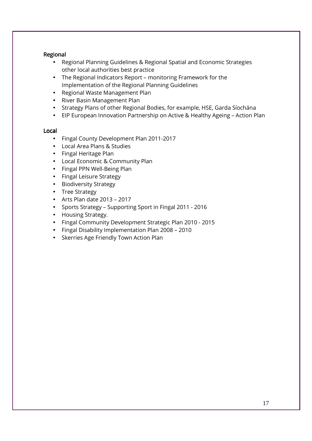#### Regional

- Regional Planning Guidelines & Regional Spatial and Economic Strategies other local authorities best practice
- The Regional Indicators Report monitoring Framework for the Implementation of the Regional Planning Guidelines
- Regional Waste Management Plan
- River Basin Management Plan
- Strategy Plans of other Regional Bodies, for example, HSE, Garda Síochána
- EIP European Innovation Partnership on Active & Healthy Ageing Action Plan

#### Local

- Fingal County Development Plan 2011-2017
- Local Area Plans & Studies
- Fingal Heritage Plan
- Local Economic & Community Plan
- Fingal PPN Well-Being Plan
- Fingal Leisure Strategy
- Biodiversity Strategy
- Tree Strategy
- Arts Plan date  $2013 2017$
- Sports Strategy Supporting Sport in Fingal 2011 2016
- Housing Strategy.
- Fingal Community Development Strategic Plan 2010 2015
- Fingal Disability Implementation Plan 2008 2010
- Skerries Age Friendly Town Action Plan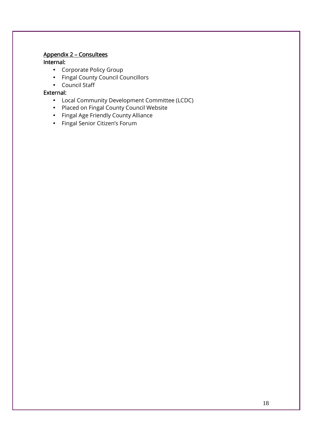## Appendix 2 – Consultees

### Internal: Internal:

- Corporate Policy Group
- Fingal County Council Councillors
- Council Staff

## External: External:

- Local Community Development Committee (LCDC)
- Placed on Fingal County Council Website
- Fingal Age Friendly County Alliance
- Fingal Senior Citizen's Forum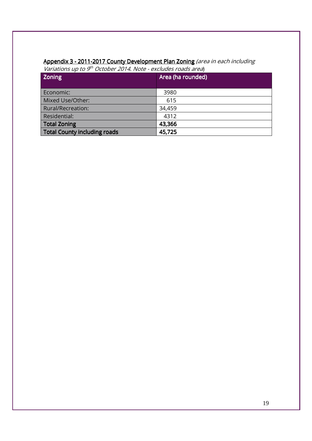#### **Appendix 3 - 2011-2017 County Development Plan Zoning** (area in each including

Variations up to 9<sup>th</sup> October 2014. Note - excludes roads area)

| <b>Zoning</b>                       | Area (ha rounded) |
|-------------------------------------|-------------------|
|                                     |                   |
| Economic:                           | 3980              |
| Mixed Use/Other:                    | 615               |
| Rural/Recreation:                   | 34,459            |
| Residential:                        | 4312              |
| <b>Total Zoning</b>                 | 43,366            |
| <b>Total County including roads</b> | 45,725            |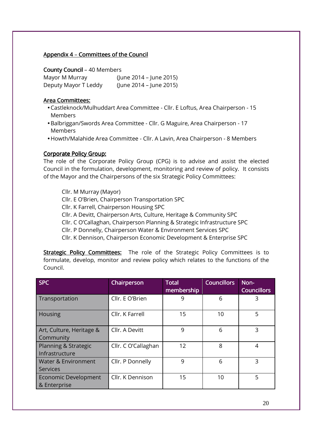## Appendix  $4$  – Committees of the Council

County Council – 40 Members

Mayor M Murray (June 2014 – June 2015) Deputy Mayor T Leddy (June 2014 – June 2015)

#### Area Committees:

- Castleknock/Mulhuddart Area Committee Cllr. E Loftus, Area Chairperson 15 Members
- Balbriggan/Swords Area Committee Cllr. G Maguire, Area Chairperson 17 Members
- Howth/Malahide Area Committee Cllr. A Lavin, Area Chairperson 8 Members

#### Corporate Policy Group:

The role of the Corporate Policy Group (CPG) is to advise and assist the elected Council in the formulation, development, monitoring and review of policy. It consists of the Mayor and the Chairpersons of the six Strategic Policy Committees:

Cllr. M Murray (Mayor) Cllr. E O'Brien, Chairperson Transportation SPC Cllr. K Farrell, Chairperson Housing SPC Cllr. A Devitt, Chairperson Arts, Culture, Heritage & Community SPC Cllr. C O'Callaghan, Chairperson Planning & Strategic Infrastructure SPC Cllr. P Donnelly, Chairperson Water & Environment Services SPC

Cllr. K Dennison, Chairperson Economic Development & Enterprise SPC

Strategic Policy Committees: The role of the Strategic Policy Committees is to formulate, develop, monitor and review policy which relates to the functions of the Council.

| <b>SPC</b>                                        | Chairperson         | <b>Total</b><br>membership | <b>Councillors</b> | Non-<br><b>Councillors</b> |
|---------------------------------------------------|---------------------|----------------------------|--------------------|----------------------------|
| Transportation                                    | Cllr. E O'Brien     | 9                          | 6                  | 3                          |
| <b>Housing</b>                                    | Cllr. K Farrell     | 15                         | 10                 | 5                          |
| Art, Culture, Heritage &<br>Community             | Cllr. A Devitt      | 9                          | 6                  | ς                          |
| Planning & Strategic<br>Infrastructure            | Cllr. C O'Callaghan | 12                         | 8                  | 4                          |
| <b>Water &amp; Environment</b><br><b>Services</b> | Cllr. P Donnelly    | 9                          | 6                  | 3                          |
| <b>Economic Development</b><br>& Enterprise       | Cllr. K Dennison    | 15                         | 10                 | 5                          |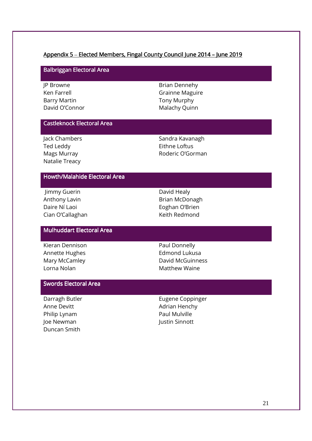#### Appendix 5 – Elected Members, Fingal County Council June 2014 – June 2019

#### Balbriggan Electoral Area

JP Browne Ken Farrell Barry Martin David O'Connor Brian Dennehy Grainne Maguire Tony Murphy Malachy Quinn

#### Castleknock Electoral Area

Jack Chambers Ted Leddy Mags Murray Natalie Treacy

Sandra Kavanagh Eithne Loftus Roderic O'Gorman

## Howth/Malahide Electoral Area

 Jimmy Guerin Anthony Lavin Daire Ní Laoi Cian O'Callaghan David Healy Brian McDonagh Eoghan O'Brien Keith Redmond

#### Mulhuddart Electoral Area

Kieran Dennison Annette Hughes Mary McCamley Lorna Nolan

Paul Donnelly Edmond Lukusa David McGuinness Matthew Waine

## Swords Electoral Area

Darragh Butler Anne Devitt Philip Lynam Joe Newman Duncan Smith

Eugene Coppinger Adrian Henchy Paul Mulville Justin Sinnott